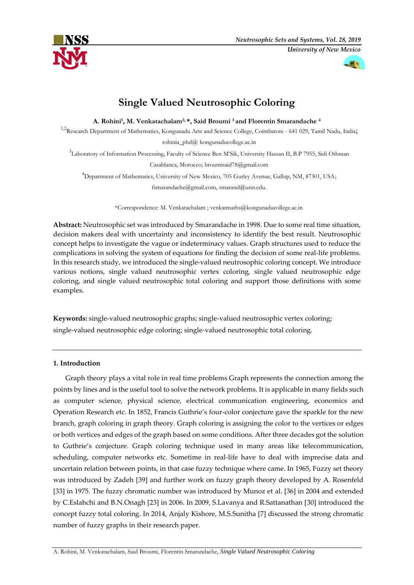



# **Single Valued Neutrosophic Coloring**

**A. Rohini<sup>1</sup> , M. Venkatachalam2, \*, Said Broumi <sup>3</sup> and Florentin Smarandache <sup>4</sup>**

<sup>1,2</sup>Research Department of Mathematics, Kongunadu Arts and Science College, Coimbatore - 641 029, Tamil Nadu, India; rohinia\_phd $@$  kongunaducollege.ac.in

3 Laboratory of Information Processing, Faculty of Science Ben M'Sik, University Hassan II, B.P 7955, Sidi Othman Casablanca, Morocco; broumisaid78@gmail.com

<sup>4</sup>Department of Mathematics, University of New Mexico, 705 Gurley Avenue, Gallup, NM, 87301, USA; fsmarandache@gmail.com, smarand@unn.edu.

\*Correspondence: M. Venkatachalam ; venkatmaths@kongunaducollege.ac.in

**Abstract:** Neutrosophic set was introduced by Smarandache in 1998. Due to some real time situation, decision makers deal with uncertainty and inconsistency to identify the best result. Neutrosophic concept helps to investigate the vague or indeterminacy values. Graph structures used to reduce the complications in solving the system of equations for finding the decision of some real-life problems. In this research study, we introduced the single-valued neutrosophic coloring concept. We introduce various notions, single valued neutrosophic vertex coloring, single valued neutrosophic edge coloring, and single valued neutrosophic total coloring and support those definitions with some examples.

**Keywords:** single-valued neutrosophic graphs; single-valued neutrosophic vertex coloring; single-valued neutrosophic edge coloring; single-valued neutrosophic total coloring.

# **1. Introduction**

Graph theory plays a vital role in real time problems Graph represents the connection among the points by lines and is the useful tool to solve the network problems. It is applicable in many fields such as computer science, physical science, electrical communication engineering, economics and Operation Research etc. In 1852, Francis Guthrie's four-color conjecture gave the sparkle for the new branch, graph coloring in graph theory. Graph coloring is assigning the color to the vertices or edges or both vertices and edges of the graph based on some conditions. After three decades got the solution to Guthrie's conjecture. Graph coloring technique used in many areas like telecommunication, scheduling, computer networks etc. Sometime in real-life have to deal with imprecise data and uncertain relation between points, in that case fuzzy technique where came. In 1965, Fuzzy set theory was introduced by Zadeh [39] and further work on fuzzy graph theory developed by A. Rosenfeld [33] in 1975. The fuzzy chromatic number was introduced by Munoz et al. [36] in 2004 and extended by C.Eslahchi and B.N.Onagh [23] in 2006. In 2009, S.Lavanya and R.Sattanathan [30] introduced the concept fuzzy total coloring. In 2014, Anjaly Kishore, M.S.Sunitha [7] discussed the strong chromatic number of fuzzy graphs in their research paper.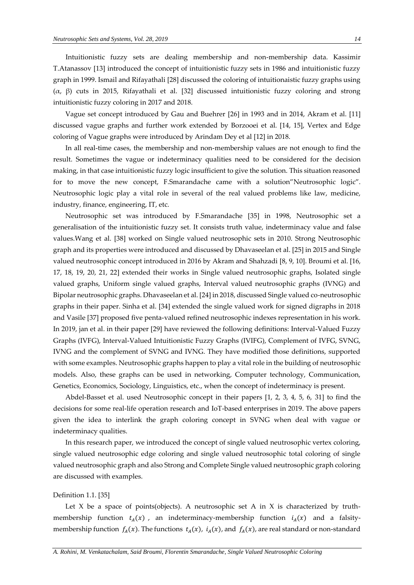Intuitionistic fuzzy sets are dealing membership and non-membership data. Kassimir T.Atanassov [13] introduced the concept of intuitionistic fuzzy sets in 1986 and intuitionistic fuzzy graph in 1999. Ismail and Rifayathali [28] discussed the coloring of intuitionaistic fuzzy graphs using (α, β) cuts in 2015, Rifayathali et al. [32] discussed intuitionistic fuzzy coloring and strong intuitionistic fuzzy coloring in 2017 and 2018.

Vague set concept introduced by Gau and Buehrer [26] in 1993 and in 2014, Akram et al. [11] discussed vague graphs and further work extended by Borzooei et al. [14, 15], Vertex and Edge coloring of Vague graphs were introduced by Arindam Dey et al [12] in 2018.

In all real-time cases, the membership and non-membership values are not enough to find the result. Sometimes the vague or indeterminacy qualities need to be considered for the decision making, in that case intuitionistic fuzzy logic insufficient to give the solution. This situation reasoned for to move the new concept, F.Smarandache came with a solution"Neutrosophic logic". Neutrosophic logic play a vital role in several of the real valued problems like law, medicine, industry, finance, engineering, IT, etc.

Neutrosophic set was introduced by F.Smarandache [35] in 1998, Neutrosophic set a generalisation of the intuitionistic fuzzy set. It consists truth value, indeterminacy value and false values.Wang et al. [38] worked on Single valued neutrosophic sets in 2010. Strong Neutrosophic graph and its properties were introduced and discussed by Dhavaseelan et al. [25] in 2015 and Single valued neutrosophic concept introduced in 2016 by Akram and Shahzadi [8, 9, 10]. Broumi et al. [16, 17, 18, 19, 20, 21, 22] extended their works in Single valued neutrosophic graphs, Isolated single valued graphs, Uniform single valued graphs, Interval valued neutrosophic graphs (IVNG) and Bipolar neutrosophic graphs. Dhavaseelan et al. [24] in 2018, discussed Single valued co-neutrosophic graphs in their paper. Sinha et al. [34] extended the single valued work for signed digraphs in 2018 and Vasile [37] proposed five penta-valued refined neutrosophic indexes representation in his work. In 2019, jan et al. in their paper [29] have reviewed the following definitions: Interval-Valued Fuzzy Graphs (IVFG), Interval-Valued Intuitionistic Fuzzy Graphs (IVIFG), Complement of IVFG, SVNG, IVNG and the complement of SVNG and IVNG. They have modified those definitions, supported with some examples. Neutrosophic graphs happen to play a vital role in the building of neutrosophic models. Also, these graphs can be used in networking, Computer technology, Communication, Genetics, Economics, Sociology, Linguistics, etc., when the concept of indeterminacy is present.

Abdel-Basset et al. used Neutrosophic concept in their papers [1, 2, 3, 4, 5, 6, 31] to find the decisions for some real-life operation research and IoT-based enterprises in 2019. The above papers given the idea to interlink the graph coloring concept in SVNG when deal with vague or indeterminacy qualities.

In this research paper, we introduced the concept of single valued neutrosophic vertex coloring, single valued neutrosophic edge coloring and single valued neutrosophic total coloring of single valued neutrosophic graph and also Strong and Complete Single valued neutrosophic graph coloring are discussed with examples.

#### Definition 1.1. [35]

Let  $X$  be a space of points(objects). A neutrosophic set  $A$  in  $X$  is characterized by truthmembership function  $t_A(x)$ , an indeterminacy-membership function  $i_A(x)$  and a falsitymembership function  $f_A(x)$ . The functions  $t_A(x)$ ,  $i_A(x)$ , and  $f_A(x)$ , are real standard or non-standard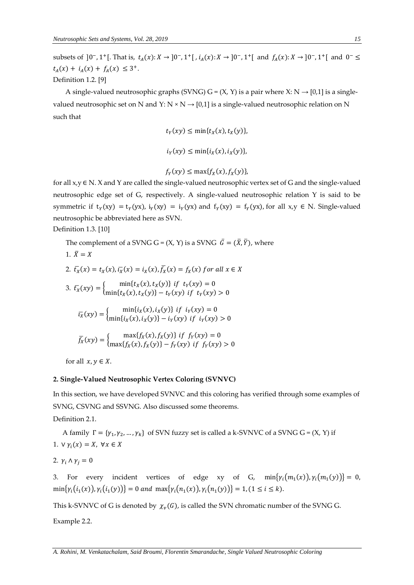subsets of ]0<sup>-</sup>, 1<sup>+</sup>[. That is,  $t_A(x): X \to 0^-$ , 1<sup>+</sup>[,  $i_A(x): X \to 0^-$ , 1<sup>+</sup>[ and  $f_A(x): X \to 0^-$ , 1<sup>+</sup>[ and 0<sup>-</sup> ≤  $t_A(x) + i_A(x) + f_A(x) \leq 3^+.$ Definition 1.2. [9]

A single-valued neutrosophic graphs (SVNG) G =  $(X, Y)$  is a pair where X: N  $\rightarrow$  [0,1] is a singlevalued neutrosophic set on N and Y: N  $\times$  N  $\rightarrow$  [0,1] is a single-valued neutrosophic relation on N such that

$$
t_Y(xy) \le \min\{t_X(x), t_X(y)\},
$$
  

$$
i_Y(xy) \le \min\{i_X(x), i_X(y)\},
$$

$$
f_Y(xy) \le \max\{f_X(x), f_X(y)\},\
$$

for all  $x,y \in N$ . X and Y are called the single-valued neutrosophic vertex set of G and the single-valued neutrosophic edge set of G, respectively. A single-valued neutrosophic relation Y is said to be symmetric if  $t_Y(xy) = t_Y(yx)$ ,  $i_Y(xy) = i_Y(yx)$  and  $f_Y(xy) = f_Y(yx)$ , for all  $x, y \in N$ . Single-valued neutrosophic be abbreviated here as SVN.

Definition 1.3. [10]

The complement of a SVNG G =  $(X, Y)$  is a SVNG  $\bar{G} = (\bar{X}, \bar{Y})$ , where

1. 
$$
\bar{X} = X
$$
  
\n2.  $\bar{t}_X(x) = t_X(x), \bar{t}_X(x) = i_X(x), \bar{f}_X(x) = f_X(x)$  for all  $x \in X$   
\n3.  $\bar{t}_X(xy) = \begin{cases} \min\{t_X(x), t_X(y)\} & \text{if } t_Y(xy) = 0\\ \min\{t_X(x), t_X(y)\} - t_Y(xy) & \text{if } t_Y(xy) > 0 \end{cases}$   
\n $\bar{t}_X(xy) = \begin{cases} \min\{i_X(x), i_X(y)\} & \text{if } i_Y(xy) = 0\\ \min\{i_X(x), i_X(y)\} - i_Y(xy) & \text{if } i_Y(xy) > 0 \end{cases}$   
\n $\bar{f}_X(xy) = \begin{cases} \max\{f_X(x), f_X(y)\} & \text{if } f_Y(xy) = 0\\ \max\{f_X(x), f_X(y)\} - f_Y(xy) & \text{if } f_Y(xy) > 0 \end{cases}$   
\nfor all  $x, y \in X$ 

for all  $x, y \in X$ .

# **2. Single-Valued Neutrosophic Vertex Coloring (SVNVC)**

In this section, we have developed SVNVC and this coloring has verified through some examples of SVNG, CSVNG and SSVNG. Also discussed some theorems.

Definition 2.1.

A family  $\Gamma = {\gamma_1, \gamma_2, ..., \gamma_k}$  of SVN fuzzy set is called a k-SVNVC of a SVNG G = (X, Y) if 1.  $\forall y_i(x) = X, \forall x \in X$ 

$$
2. \ \gamma_i \wedge \gamma_j = 0
$$

3. For every incident vertices of edge xy of G,  $min{\gamma_i(m_1(x))}, \gamma_i(m_1(y))} = 0$ ,  $\min\{\gamma_i(i_1(x)), \gamma_i(i_1(y))\} = 0$  and  $\max\{\gamma_i(n_1(x)), \gamma_i(n_1(y))\} = 1, (1 \le i \le k).$ 

This k-SVNVC of G is denoted by  $\chi_v(G)$ , is called the SVN chromatic number of the SVNG G.

Example 2.2.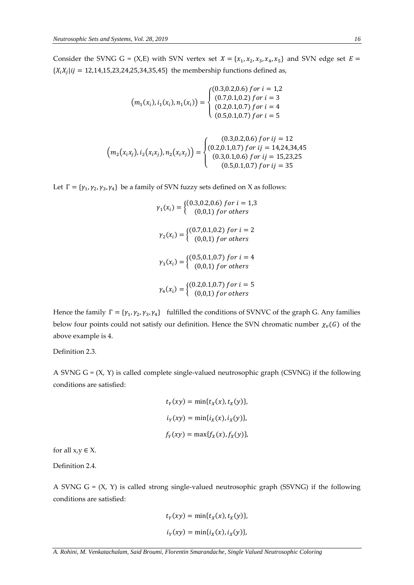Consider the SVNG G = (X,E) with SVN vertex set  $X = \{x_1, x_2, x_3, x_4, x_5\}$  and SVN edge set  $E =$  $\{X_i X_j | i j = 12, 14, 15, 23, 24, 25, 34, 35, 45\}$  the membership functions defined as,

$$
(m_1(x_i), i_1(x_i), n_1(x_i)) = \begin{cases} (0.3, 0.2, 0.6) \text{ for } i = 1, 2\\ (0.7, 0.1, 0.2) \text{ for } i = 3\\ (0.2, 0.1, 0.7) \text{ for } i = 4\\ (0.5, 0.1, 0.7) \text{ for } i = 5 \end{cases}
$$

$$
\left(m_2(x_ix_j), i_2(x_ix_j), n_2(x_ix_j)\right) = \begin{cases} (0.3, 0.2, 0.6) \ for \ ij = 12\\ (0.2, 0.1, 0.7) \ for \ ij = 14, 24, 34, 45\\ (0.3, 0.1, 0.6) \ for \ ij = 15, 23, 25\\ (0.5, 0.1, 0.7) \ for \ ij = 35 \end{cases}
$$

Let  $\Gamma = {\gamma_1, \gamma_2, \gamma_3, \gamma_4}$  be a family of SVN fuzzy sets defined on X as follows:

$$
\gamma_1(x_i) = \begin{cases}\n(0.3, 0.2, 0.6) \text{ for } i = 1, 3 \\
(0, 0, 1) \text{ for others}\n\end{cases}
$$
\n
$$
\gamma_2(x_i) = \begin{cases}\n(0.7, 0.1, 0.2) \text{ for } i = 2 \\
(0, 0, 1) \text{ for others}\n\end{cases}
$$
\n
$$
\gamma_3(x_i) = \begin{cases}\n(0.5, 0.1, 0.7) \text{ for } i = 4 \\
(0, 0, 1) \text{ for others}\n\end{cases}
$$
\n
$$
\gamma_4(x_i) = \begin{cases}\n(0.2, 0.1, 0.7) \text{ for } i = 5 \\
(0, 0, 1) \text{ for others}\n\end{cases}
$$

Hence the family  $\Gamma = \{\gamma_1, \gamma_2, \gamma_3, \gamma_4\}$  fulfilled the conditions of SVNVC of the graph G. Any families below four points could not satisfy our definition. Hence the SVN chromatic number  $\chi_v(G)$  of the above example is 4.

Definition 2.3.

A SVNG  $G = (X, Y)$  is called complete single-valued neutrosophic graph (CSVNG) if the following conditions are satisfied:

$$
t_Y(xy) = \min\{t_X(x), t_X(y)\},
$$
  

$$
i_Y(xy) = \min\{i_X(x), i_X(y)\},
$$
  

$$
f_Y(xy) = \max\{f_X(x), f_X(y)\},
$$

for all  $x,y \in X$ .

Definition 2.4.

A SVNG  $G = (X, Y)$  is called strong single-valued neutrosophic graph (SSVNG) if the following conditions are satisfied:

$$
t_Y(xy) = \min\{t_X(x), t_X(y)\},
$$
  

$$
i_Y(xy) = \min\{i_X(x), i_X(y)\},
$$

*A. Rohini, M. Venkatachalam, Said Broumi, Florentin Smarandache, Single Valued Neutrosophic Coloring*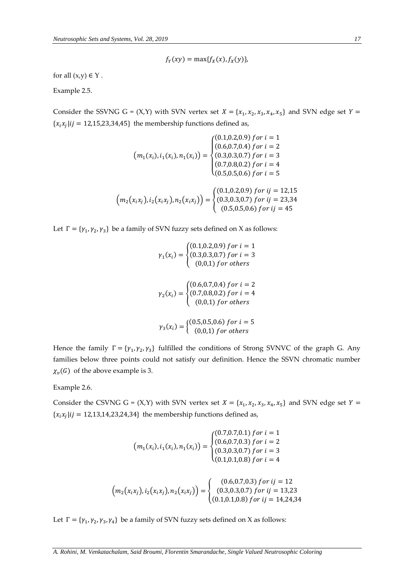$$
f_Y(xy) = \max\{f_X(x), f_X(y)\},\
$$

for all  $(x,y) \in Y$ .

Example 2.5.

Consider the SSVNG G =  $(X,Y)$  with SVN vertex set  $X = \{x_1, x_2, x_3, x_4, x_5\}$  and SVN edge set  $Y =$  ${x_i x_j}$   $ij = 12,15,23,34,45$ } the membership functions defined as,

$$
\left(m_1(x_i), i_1(x_i), n_1(x_i)\right) = \begin{cases}\n(0.1, 0.2, 0.9) \text{ for } i = 1 \\
(0.6, 0.7, 0.4) \text{ for } i = 2 \\
(0.3, 0.3, 0.7) \text{ for } i = 3 \\
(0.7, 0.8, 0.2) \text{ for } i = 4 \\
(0.5, 0.5, 0.6) \text{ for } i = 5\n\end{cases}
$$
\n
$$
\left(m_2(x_ix_j), i_2(x_ix_j), n_2(x_ix_j)\right) = \begin{cases}\n(0.1, 0.2, 0.9) \text{ for } i = 12, 15 \\
(0.3, 0.3, 0.7) \text{ for } i = 12, 15 \\
(0.3, 0.3, 0.7) \text{ for } i = 23, 34 \\
(0.5, 0.5, 0.6) \text{ for } i = 45\n\end{cases}
$$

Let  $\Gamma = {\gamma_1, \gamma_2, \gamma_3}$  be a family of SVN fuzzy sets defined on X as follows:

$$
\gamma_1(x_i) = \begin{cases}\n(0.1, 0.2, 0.9) \text{ for } i = 1 \\
(0.3, 0.3, 0.7) \text{ for } i = 3 \\
(0, 0, 1) \text{ for others}\n\end{cases}
$$
\n
$$
\gamma_2(x_i) = \begin{cases}\n(0.6, 0.7, 0.4) \text{ for } i = 2 \\
(0.7, 0.8, 0.2) \text{ for } i = 4 \\
(0, 0, 1) \text{ for others}\n\end{cases}
$$
\n
$$
\gamma_3(x_i) = \begin{cases}\n(0.5, 0.5, 0.6) \text{ for } i = 5 \\
(0, 0, 1) \text{ for others}\n\end{cases}
$$

Hence the family  $\Gamma = \{\gamma_1, \gamma_2, \gamma_3\}$  fulfilled the conditions of Strong SVNVC of the graph G. Any families below three points could not satisfy our definition. Hence the SSVN chromatic number  $\chi_v(G)$  of the above example is 3.

Example 2.6.

Consider the CSVNG G =  $(X,Y)$  with SVN vertex set  $X = \{x_1, x_2, x_3, x_4, x_5\}$  and SVN edge set  $Y =$  ${x_i x_j | ij = 12, 13, 14, 23, 24, 34}$  the membership functions defined as,

$$
(m_1(x_i), i_1(x_i), n_1(x_i)) = \begin{cases} (0.7, 0.7, 0.1) \text{ for } i = 1\\ (0.6, 0.7, 0.3) \text{ for } i = 2\\ (0.3, 0.3, 0.7) \text{ for } i = 3\\ (0.1, 0.1, 0.8) \text{ for } i = 4 \end{cases}
$$

$$
(m_2(x_ix_j), i_2(x_ix_j), n_2(x_ix_j)) = \begin{cases} (0.6, 0.7, 0.3) \text{ for } i = 12\\ (0.3, 0.3, 0.7) \text{ for } ij = 12\\ (0.3, 0.3, 0.7) \text{ for } ij = 13, 23\\ (0.1, 0.1, 0.8) \text{ for } ij = 14, 24, 34 \end{cases}
$$

Let  $\Gamma = {\gamma_1, \gamma_2, \gamma_3, \gamma_4}$  be a family of SVN fuzzy sets defined on X as follows: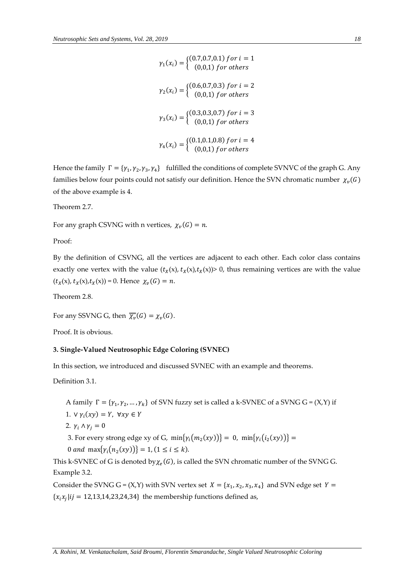$\gamma_1(x_i) = \begin{cases} (0.7, 0.7, 0.1) & \text{for } i = 1 \\ (0, 0.1) & \text{for others} \end{cases}$  $(0,0,1)$  for others  $\gamma_2(x_i) = \begin{cases} (0.6, 0.7, 0.3) & \text{for } i = 2 \\ (0.0, 1) & \text{for others} \end{cases}$  $(0,0,1)$  for others  $\gamma_3(x_i) = \begin{cases} (0.3, 0.3, 0.7) & \text{for } i = 3 \\ (0.0, 1) & \text{for others} \end{cases}$  $(0,0,1)$  for others  $\gamma_4(x_i) = \begin{cases} (0.1, 0.1, 0.8) & \text{for } i = 4 \\ (0.0, 1) & \text{for others} \end{cases}$  $(0,0,1)$  for others

Hence the family  $\Gamma = \{\gamma_1, \gamma_2, \gamma_3, \gamma_4\}$  fulfilled the conditions of complete SVNVC of the graph G. Any families below four points could not satisfy our definition. Hence the SVN chromatic number  $\chi_v(G)$ of the above example is 4.

Theorem 2.7.

For any graph CSVNG with n vertices,  $\chi_v(G) = n$ .

Proof:

By the definition of CSVNG, all the vertices are adjacent to each other. Each color class contains exactly one vertex with the value  $(t_X(x), t_X(x),t_X(x))$  0, thus remaining vertices are with the value  $(t_X(x), t_X(x), t_X(x)) = 0.$  Hence  $\chi_v(G) = n$ .

Theorem 2.8.

For any SSVNG G, then  $\overline{\chi_v}(G) = \chi_v(G)$ .

Proof. It is obvious.

#### **3. Single-Valued Neutrosophic Edge Coloring (SVNEC)**

In this section, we introduced and discussed SVNEC with an example and theorems.

Definition 3.1.

- A family  $\Gamma = \{\gamma_1, \gamma_2, ..., \gamma_k\}$  of SVN fuzzy set is called a k-SVNEC of a SVNG G = (X,Y) if
- 1.  $\vee \gamma_i(xy) = Y$ ,  $\forall xy \in Y$
- 2.  $\gamma_i \wedge \gamma_j = 0$
- 3. For every strong edge xy of G,  $\min\{\gamma_i(m_2(xy))\} = 0$ ,  $\min\{\gamma_i(i_2(xy))\} = 0$
- 0 and max $\{ \gamma_i(n_2(xy)) \} = 1, (1 \le i \le k).$

This k-SVNEC of G is denoted by  $\chi_e(G)$ , is called the SVN chromatic number of the SVNG G. Example 3.2.

Consider the SVNG G =  $(X,Y)$  with SVN vertex set  $X = \{x_1, x_2, x_3, x_4\}$  and SVN edge set  $Y =$  ${x_i x_j | ij = 12, 13, 14, 23, 24, 34}$  the membership functions defined as,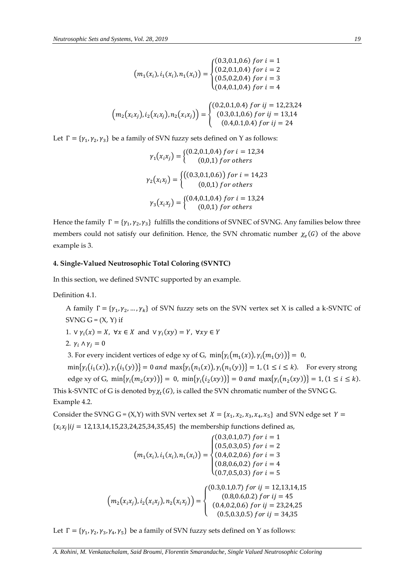$$
\left(m_1(x_i), i_1(x_i), n_1(x_i)\right) = \begin{cases}\n(0.3, 0.1, 0.6) \text{ for } i = 1 \\
(0.2, 0.1, 0.4) \text{ for } i = 2 \\
(0.5, 0.2, 0.4) \text{ for } i = 3 \\
(0.4, 0.1, 0.4) \text{ for } i = 4\n\end{cases}
$$
\n
$$
\left(m_2(x_ix_j), i_2(x_ix_j), n_2(x_ix_j)\right) = \begin{cases}\n(0.2, 0.1, 0.4) \text{ for } ij = 12, 23, 24 \\
(0.3, 0.1, 0.6) \text{ for } ij = 13, 14 \\
(0.4, 0.1, 0.4) \text{ for } ij = 24\n\end{cases}
$$

Let  $\Gamma = \{\gamma_1, \gamma_2, \gamma_3\}$  be a family of SVN fuzzy sets defined on Y as follows:

$$
\gamma_1(x_i x_j) = \begin{cases} (0.2, 0.1, 0.4) \text{ for } i = 12, 34 \\ (0, 0, 1) \text{ for others} \end{cases}
$$

$$
\gamma_2(x_i x_j) = \begin{cases} ((0.3, 0.1, 0.6)) \text{ for } i = 14, 23 \\ (0, 0, 1) \text{ for others} \end{cases}
$$

$$
\gamma_3(x_i x_j) = \begin{cases} (0.4, 0.1, 0.4) \text{ for } i = 13, 24 \\ (0, 0, 1) \text{ for others} \end{cases}
$$

Hence the family  $\Gamma = \{\gamma_1, \gamma_2, \gamma_3\}$  fulfills the conditions of SVNEC of SVNG. Any families below three members could not satisfy our definition. Hence, the SVN chromatic number  $\chi_e(G)$  of the above example is 3.

## **4. Single-Valued Neutrosophic Total Coloring (SVNTC)**

In this section, we defined SVNTC supported by an example.

Definition 4.1.

A family  $\Gamma = \{\gamma_1, \gamma_2, ..., \gamma_k\}$  of SVN fuzzy sets on the SVN vertex set X is called a k-SVNTC of SVNG  $G = (X, Y)$  if

1.  $\forall \gamma_i(x) = X, \forall x \in X \text{ and } \forall \gamma_i(xy) = Y, \forall xy \in Y$ 

2.  $\gamma_i \wedge \gamma_i = 0$ 

3. For every incident vertices of edge xy of G,  $min{\gamma_i(m_1(x))}, \gamma_i(m_1(y))} = 0$ ,

 $\min\{\gamma_i(i_1(x)),\gamma_i(i_1(y))\}=0$  and  $\max\{\gamma_i(n_1(x)),\gamma_i(n_1(y))\}=1$ ,  $(1 \le i \le k)$ . For every strong edge xy of G,  $\min\{\gamma_i(m_2(xy))\} = 0$ ,  $\min\{\gamma_i(i_2(xy))\} = 0$  and  $\max\{\gamma_i(n_2(xy))\} = 1$ ,  $(1 \le i \le k)$ . This k-SVNTC of G is denoted by  $\chi_t(G)$ , is called the SVN chromatic number of the SVNG G. Example 4.2.

Consider the SVNG G =  $(X,Y)$  with SVN vertex set  $X = \{x_1, x_2, x_3, x_4, x_5\}$  and SVN edge set  $Y =$  ${x_i x_j | i j = 12, 13, 14, 15, 23, 24, 25, 34, 35, 45}$  the membership functions defined as,

$$
(m_1(x_i), i_1(x_i), n_1(x_i)) = \begin{cases} (0.3, 0.1, 0.7) \text{ for } i = 1\\ (0.5, 0.3, 0.5) \text{ for } i = 2\\ (0.4, 0.2, 0.6) \text{ for } i = 3\\ (0.8, 0.6, 0.2) \text{ for } i = 4\\ (0.7, 0.5, 0.3) \text{ for } i = 5 \end{cases}
$$

$$
(m_2(x_ix_j), i_2(x_ix_j), n_2(x_ix_j)) = \begin{cases} (0.3, 0.1, 0.7) \text{ for } ij = 12, 13, 14, 15\\ (0.8, 0.6, 0.2) \text{ for } ij = 12, 13, 14, 15\\ (0.8, 0.6, 0.2) \text{ for } ij = 45\\ (0.4, 0.2, 0.6) \text{ for } ij = 23, 24, 25\\ (0.5, 0.3, 0.5) \text{ for } ij = 24, 35 \end{cases}
$$

Let  $\Gamma = {\gamma_1, \gamma_2, \gamma_3, \gamma_4, \gamma_5}$  be a family of SVN fuzzy sets defined on Y as follows: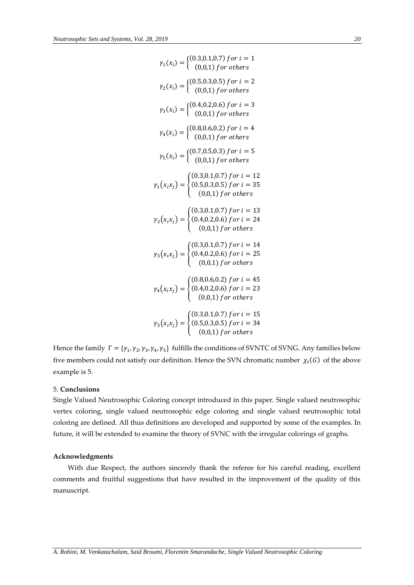$$
\gamma_1(x_i) = \begin{cases}\n(0.3, 0.1, 0.7) \text{ for } i = 1 \\
(0, 0, 1) \text{ for others}\n\end{cases}
$$
\n
$$
\gamma_2(x_i) = \begin{cases}\n(0.5, 0.3, 0.5) \text{ for } i = 2 \\
(0, 0, 1) \text{ for others}\n\end{cases}
$$
\n
$$
\gamma_3(x_i) = \begin{cases}\n(0.4, 0.2, 0.6) \text{ for } i = 3 \\
(0, 0, 1) \text{ for others}\n\end{cases}
$$
\n
$$
\gamma_4(x_i) = \begin{cases}\n(0.8, 0.6, 0.2) \text{ for } i = 4 \\
(0, 0, 1) \text{ for others}\n\end{cases}
$$
\n
$$
\gamma_5(x_i) = \begin{cases}\n(0.7, 0.5, 0.3) \text{ for } i = 5 \\
(0, 0, 1) \text{ for others}\n\end{cases}
$$
\n
$$
\gamma_1(x_i x_j) = \begin{cases}\n(0.3, 0.1, 0.7) \text{ for } i = 13 \\
(0.5, 0.3, 0.5) \text{ for } i = 25 \\
(0, 0, 1) \text{ for others}\n\end{cases}
$$
\n
$$
\gamma_2(x_i x_j) = \begin{cases}\n(0.3, 0.1, 0.7) \text{ for } i = 14 \\
(0.4, 0.2, 0.6) \text{ for } i = 25 \\
(0, 0, 1) \text{ for others}\n\end{cases}
$$
\n
$$
\gamma_3(x_i x_j) = \begin{cases}\n(0.3, 0.1, 0.7) \text{ for } i = 14 \\
(0.4, 0.2, 0.6) \text{ for } i = 25 \\
(0, 0, 1) \text{ for others}\n\end{cases}
$$
\n
$$
\gamma_4(x_i x_j) = \begin{cases}\n(0.3, 0.1, 0.7) \text{ for } i = 15 \\
(0.4, 0.2, 0.6) \text{ for } i = 15 \\
(0.6, 0.3, 0.5) \text{ for } i = 15 \\
(0.6, 0.3, 0.5) \text{ for } i = 15 \\
(0.6, 0.3
$$

Hence the family  $\Gamma = \{\gamma_1, \gamma_2, \gamma_3, \gamma_4, \gamma_5\}$  fulfills the conditions of SVNTC of SVNG. Any families below five members could not satisfy our definition. Hence the SVN chromatic number  $\chi_t(G)$  of the above example is 5.

### 5. **Conclusions**

Single Valued Neutrosophic Coloring concept introduced in this paper. Single valued neutrosophic vertex coloring, single valued neutrosophic edge coloring and single valued neutrosophic total coloring are defined. All thus definitions are developed and supported by some of the examples. In future, it will be extended to examine the theory of SVNC with the irregular colorings of graphs.

# **Acknowledgments**

With due Respect, the authors sincerely thank the referee for his careful reading, excellent comments and fruitful suggestions that have resulted in the improvement of the quality of this manuscript.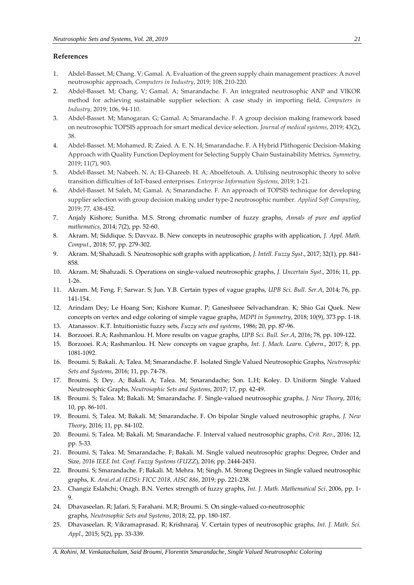## **References**

- 1. Abdel-Basset. M; Chang. V; Gamal. A. Evaluation of the green supply chain management practices: A novel neutrosophic approach, *Computers in Industry*, 2019; 108, 210-220.
- 2. Abdel-Basset. M; Chang. V; Gamal. A; Smarandache. F. An integrated neutrosophic ANP and VIKOR method for achieving sustainable supplier selection: A case study in importing field, *Computers in Industry*, 2019; 106, 94-110.
- 3. Abdel-Basset. M; Manogaran. G; Gamal. A; Smarandache. F. A group decision making framework based on neutrosophic TOPSIS approach for smart medical device selection. *Journal of medical systems*, 2019; 43(2), 38.
- 4. Abdel-Basset. M; Mohamed. R; Zaied. A. E. N. H; Smarandache. F. A Hybrid Plithogenic Decision-Making Approach with Quality Function Deployment for Selecting Supply Chain Sustainability Metrics, *Symmetry*, 2019; 11(7), 903.
- 5. Abdel-Basset. M; Nabeeh. N. A; El-Ghareeb. H. A; Aboelfetouh. A. Utilising neutrosophic theory to solve transition difficulties of IoT-based enterprises. *Enterprise Information Systems*, 2019; 1-21.
- 6. Abdel-Basset. M Saleh, M; Gamal. A; Smarandache. F. An approach of TOPSIS technique for developing supplier selection with group decision making under type-2 neutrosophic number. *Applied Soft Computing*, 2019; 77, 438-452.
- 7. Anjaly Kishore; Sunitha. M.S. Strong chromatic number of fuzzy graphs, *Annals of pure and applied mathematics*, 2014; 7(2), pp. 52-60.
- 8. Akram. M; Siddique. S; Davvaz. B. New concepts in neutrosophic graphs with application, *J. Appl. Math. Comput.*, 2018; 57, pp. 279-302.
- 9. Akram. M; Shahzadi. S. Neutrosophic soft graphs with application, *J. Intell. Fuzzy Syst*., 2017; 32(1), pp. 841- 858.
- 10. Akram. M; Shahzadi. S. Operations on single-valued neutrosophic graphs, *J. Uncertain Syst*., 2016; 11, pp. 1-26.
- 11. Akram. M; Feng. F; Sarwar. S; Jun. Y.B. Certain types of vague graphs, *UPB Sci. Bull. Ser.A*, 2014; 76, pp. 141-154.
- 12. Arindam Dey; Le Hoang Son; Kishore Kumar. P; Ganeshsree Selvachandran. K; Shio Gai Quek. New concepts on vertex and edge coloring of simple vague graphs, *MDPI in Symmetry*, 2018; 10(9), 373 pp. 1-18.
- 13. Atanassov. K.T. Intuitionistic fuzzy sets, *Fuzzy sets and systems*, 1986; 20, pp. 87-96.
- 14. Borzooei. R.A; Rashmanlou. H. More results on vague graphs, *UPB Sci. Bull. Ser.A*, 2016; 78, pp. 109-122.
- 15. Borzooei. R.A; Rashmanlou. H. New concepts on vague graphs, *Int. J. Mach. Learn. Cybern*., 2017; 8, pp. 1081-1092.
- 16. [Broumi. S; Bakali. A; Talea. M; Smarandache. F.](http://fs.unm.edu/NSS/IsolatedSingleValuedNeutrosophicGraphs.pdf) Isolated Single Valued Neutrosophic Graphs, *Neutrosophic Sets and Systems*, [2016; 11, pp. 74-78.](http://fs.unm.edu/NSS/IsolatedSingleValuedNeutrosophicGraphs.pdf)
- 17. Broumi. S; Dey. A; Bakali. A; Talea. M; Smarandache; Son. L.H; Koley. D. [Uniform Single Valued](http://fs.unm.edu/NSS/UniformSingleValuedNeutrosophicGraphs.pdf)  [Neutrosophic Graphs,](http://fs.unm.edu/NSS/UniformSingleValuedNeutrosophicGraphs.pdf) *Neutrosophic Sets and Systems*, 2017; 17, pp. 42-49.
- 18. Broumi. S; Talea. M; Bakali. M; Smarandache. F. Single-valued neutrosophic graphs*, J. New Theory*, 2016; 10, pp. 86-101.
- 19. Broumi. S; Talea. M; Bakali. M; Smarandache. F. On bipolar Single valued neutrosophic graphs*, J. New Theory*, 2016; 11, pp. 84-102.
- 20. Broumi. S; Talea. M; Bakali. M; Smarandache. F. Interval valued neutrosophic graphs, *Crit. Rev*., 2016; 12, pp. 5-33.
- 21. Broumi. S; Talea. M; Smarandache. F; Bakali. M. Single valued neutrosophic graphs: Degree, Order and Size, *2016 IEEE Int. Conf. Fuzzy Systems (FUZZ*), 2016; pp. 2444-2451.
- 22. Broumi. S; Smarandache. F; Bakali. M; Mehra. M; Singh. M. Strong Degrees in Single valued neutrosophic graphs, *K. Arai.et.al (EDS): FICC 2018, AISC 886*, 2019; pp. 221-238.
- 23. Changiz Eslahchi; Onagh. B.N. Vertex strength of fuzzy graphs, *Int. J. Math. Mathematical Sci*. 2006, pp. 1- 9.
- 24. Dhavaseelan. R; Jafari. S; Farahani. M.R; Broumi. S. [On single-valued co-neutrosophic](http://fs.unm.edu/NSS/OnSingleValuedCoNeutrosophicGraphs.pdf)  [graphs,](http://fs.unm.edu/NSS/OnSingleValuedCoNeutrosophicGraphs.pdf) *Neutrosophic Sets and Systems*, 2018; 22, pp. 180-187.
- 25. Dhavaseelan. R; Vikramaprasad. R; Krishnaraj. V. Certain types of neutrosophic graphs*, Int. J. Math. Sci. Appl*., 2015; 5(2), pp. 33-339.

*A. Rohini, M. Venkatachalam, Said Broumi, Florentin Smarandache, Single Valued Neutrosophic Coloring*